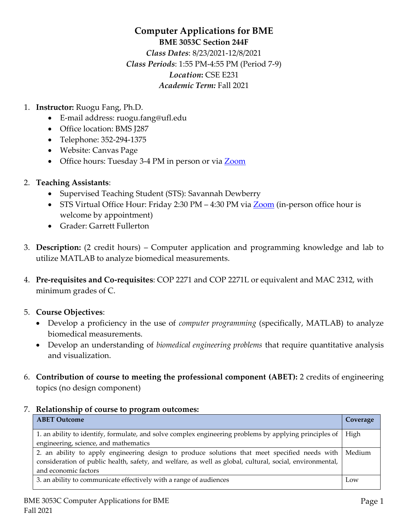# **Computer Applications for BME BME 3053C Section 244F** *Class Dates*: 8/23/2021-12/8/2021 *Class Periods*: 1:55 PM-4:55 PM (Period 7-9) *Location***:** CSE E231 *Academic Term:* Fall 2021

- 1. **Instructor:** Ruogu Fang, Ph.D.
	- E-mail address: ruogu.fang@ufl.edu
	- Office location: BMS J287
	- Telephone: 352-294-1375
	- Website: Canvas Page
	- Office hours: Tuesday 3-4 PM in person or via [Zoom](https://ufl.zoom.us/j/92345931238?pwd=RzQ2SDRrZC9lTVNseVJ5NTBSN1R2QT09)
- 2. **Teaching Assistants**:
	- Supervised Teaching Student (STS): Savannah Dewberry
	- STS Virtual Office Hour: Friday 2:30 PM 4:30 PM via **[Zoom](https://ufl.zoom.us/j/97650374473?pwd=eit2K1RwQWN6REw1ZytPNU1RbkZwdz09)** (in-person office hour is welcome by appointment)
	- Grader: Garrett Fullerton
- 3. **Description:** (2 credit hours) Computer application and programming knowledge and lab to utilize MATLAB to analyze biomedical measurements.
- 4. **Pre-requisites and Co-requisites**: COP 2271 and COP 2271L or equivalent and MAC 2312, with minimum grades of C.
- 5. **Course Objectives**:
	- Develop a proficiency in the use of *computer programming* (specifically, MATLAB) to analyze biomedical measurements.
	- Develop an understanding of *biomedical engineering problems* that require quantitative analysis and visualization.
- 6. **Contribution of course to meeting the professional component (ABET):** 2 credits of engineering topics (no design component)

#### 7. **Relationship of course to program outcomes:**

| <b>ABET Outcome</b>                                                                                      | Coverage |
|----------------------------------------------------------------------------------------------------------|----------|
| 1. an ability to identify, formulate, and solve complex engineering problems by applying principles of   | High     |
| engineering, science, and mathematics                                                                    |          |
| 2. an ability to apply engineering design to produce solutions that meet specified needs with            | Medium   |
| consideration of public health, safety, and welfare, as well as global, cultural, social, environmental, |          |
| and economic factors                                                                                     |          |
| 3. an ability to communicate effectively with a range of audiences                                       | Low      |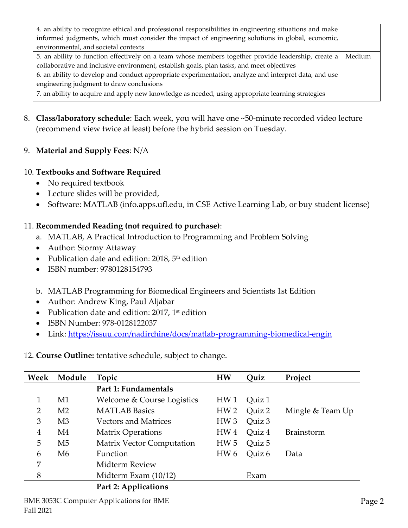| 4. an ability to recognize ethical and professional responsibilities in engineering situations and make |        |  |
|---------------------------------------------------------------------------------------------------------|--------|--|
| informed judgments, which must consider the impact of engineering solutions in global, economic,        |        |  |
| environmental, and societal contexts                                                                    |        |  |
| 5. an ability to function effectively on a team whose members together provide leadership, create a     | Medium |  |
| collaborative and inclusive environment, establish goals, plan tasks, and meet objectives               |        |  |
| 6. an ability to develop and conduct appropriate experimentation, analyze and interpret data, and use   |        |  |
| engineering judgment to draw conclusions                                                                |        |  |
| 7. an ability to acquire and apply new knowledge as needed, using appropriate learning strategies       |        |  |

- 8. **Class/laboratory schedule**: Each week, you will have one ~50-minute recorded video lecture (recommend view twice at least) before the hybrid session on Tuesday.
- 9. **Material and Supply Fees**: N/A

## 10. **Textbooks and Software Required**

- No required textbook
- Lecture slides will be provided,
- Software: MATLAB (info.apps.ufl.edu, in CSE Active Learning Lab, or buy student license)

# 11. **Recommended Reading (not required to purchase)**:

- a. MATLAB, A Practical Introduction to Programming and Problem Solving
- Author: Stormy Attaway
- Publication date and edition:  $2018$ ,  $5<sup>th</sup>$  edition
- ISBN number: 9780128154793
- b. MATLAB Programming for Biomedical Engineers and Scientists 1st Edition
- Author: Andrew King, Paul Aljabar
- Publication date and edition:  $2017$ ,  $1st$  edition
- ISBN Number: 978-0128122037
- Link:<https://issuu.com/nadirchine/docs/matlab-programming-biomedical-engin>

12. **Course Outline:** tentative schedule, subject to change.

| Week           | Module         | Topic                            | <b>HW</b>       | Ouiz   | Project           |
|----------------|----------------|----------------------------------|-----------------|--------|-------------------|
|                |                | Part 1: Fundamentals             |                 |        |                   |
| 1              | M1             | Welcome & Course Logistics       | HW <sub>1</sub> | Quiz 1 |                   |
| $\overline{2}$ | M <sub>2</sub> | <b>MATLAB Basics</b>             | HW <sub>2</sub> | Quiz 2 | Mingle & Team Up  |
| 3              | M <sub>3</sub> | <b>Vectors and Matrices</b>      | HW <sub>3</sub> | Quiz 3 |                   |
| 4              | M4             | <b>Matrix Operations</b>         | HW <sub>4</sub> | Quiz 4 | <b>Brainstorm</b> |
| 5              | M <sub>5</sub> | <b>Matrix Vector Computation</b> | HW <sub>5</sub> | Quiz 5 |                   |
| 6              | M6             | Function                         | HW <sub>6</sub> | Quiz 6 | Data              |
| 7              |                | Midterm Review                   |                 |        |                   |
| 8              |                | Midterm Exam $(10/12)$           |                 | Exam   |                   |
|                |                | <b>Part 2: Applications</b>      |                 |        |                   |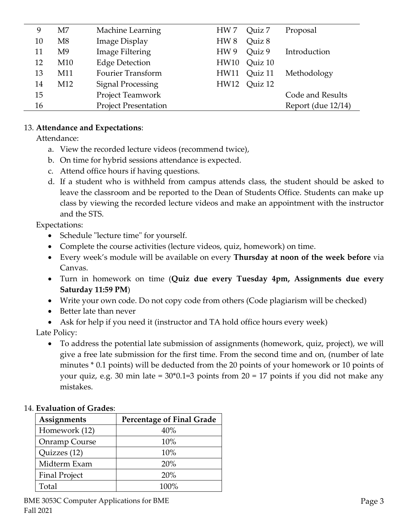| 9  | M <sub>7</sub>  | Machine Learning            | Quiz 7<br>HW 7            | Proposal           |
|----|-----------------|-----------------------------|---------------------------|--------------------|
| 10 | M8              | <b>Image Display</b>        | Quiz 8<br>HW <sub>8</sub> |                    |
| 11 | M9              | Image Filtering             | Quiz 9<br>HW <sub>9</sub> | Introduction       |
| 12 | M10             | <b>Edge Detection</b>       | Quiz 10<br>HW10           |                    |
| 13 | M11             | <b>Fourier Transform</b>    | Quiz 11<br>HW11           | Methodology        |
| 14 | M <sub>12</sub> | <b>Signal Processing</b>    | Quiz 12<br>HW12           |                    |
| 15 |                 | Project Teamwork            |                           | Code and Results   |
| 16 |                 | <b>Project Presentation</b> |                           | Report (due 12/14) |
|    |                 |                             |                           |                    |

### 13. **Attendance and Expectations**:

Attendance:

- a. View the recorded lecture videos (recommend twice),
- b. On time for hybrid sessions attendance is expected.
- c. Attend office hours if having questions.
- d. If a student who is withheld from campus attends class, the student should be asked to leave the classroom and be reported to the Dean of Students Office. Students can make up class by viewing the recorded lecture videos and make an appointment with the instructor and the STS.

Expectations:

- Schedule "lecture time" for yourself.
- Complete the course activities (lecture videos, quiz, homework) on time.
- Every week's module will be available on every **Thursday at noon of the week before** via Canvas.
- Turn in homework on time (**Quiz due every Tuesday 4pm, Assignments due every Saturday 11:59 PM**)
- Write your own code. Do not copy code from others (Code plagiarism will be checked)
- Better late than never
- Ask for help if you need it (instructor and TA hold office hours every week)

Late Policy:

• To address the potential late submission of assignments (homework, quiz, project), we will give a free late submission for the first time. From the second time and on, (number of late minutes \* 0.1 points) will be deducted from the 20 points of your homework or 10 points of your quiz, e.g. 30 min late = 30\*0.1=3 points from 20 = 17 points if you did not make any mistakes.

#### 14. **Evaluation of Grades**:

| Assignments          | <b>Percentage of Final Grade</b> |
|----------------------|----------------------------------|
| Homework (12)        | 40%                              |
| Onramp Course        | 10%                              |
| Quizzes (12)         | 10%                              |
| Midterm Exam         | 20%                              |
| <b>Final Project</b> | 20%                              |
| Total                | $100\%$                          |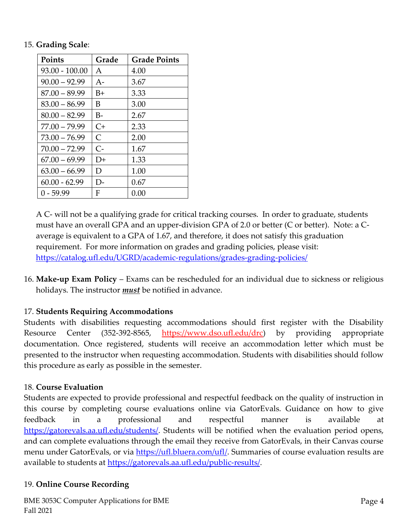#### 15. **Grading Scale**:

| <b>Points</b>    | Grade        | <b>Grade Points</b> |
|------------------|--------------|---------------------|
| $93.00 - 100.00$ | A            | 4.00                |
| $90.00 - 92.99$  | $A-$         | 3.67                |
| $87.00 - 89.99$  | $B+$         | 3.33                |
| $83.00 - 86.99$  | B            | 3.00                |
| $80.00 - 82.99$  | $B-$         | 2.67                |
| $77.00 - 79.99$  | $C+$         | 2.33                |
| $73.00 - 76.99$  | $\mathsf{C}$ | 2.00                |
| $70.00 - 72.99$  | $C-$         | 1.67                |
| $67.00 - 69.99$  | D+           | 1.33                |
| $63.00 - 66.99$  | D            | 1.00                |
| $60.00 - 62.99$  | D-           | 0.67                |
| $0 - 59.99$      | F            | 0.00                |

A C- will not be a qualifying grade for critical tracking courses. In order to graduate, students must have an overall GPA and an upper-division GPA of 2.0 or better (C or better). Note: a Caverage is equivalent to a GPA of 1.67, and therefore, it does not satisfy this graduation requirement. For more information on grades and grading policies, please visit: <https://catalog.ufl.edu/UGRD/academic-regulations/grades-grading-policies/>

16. **Make-up Exam Policy** – Exams can be rescheduled for an individual due to sickness or religious holidays. The instructor *must* be notified in advance.

# 17. **Students Requiring Accommodations**

Students with disabilities requesting accommodations should first register with the Disability Resource Center (352-392-8565, https://www.dso.ufl.edu/drc) by providing appropriate documentation. Once registered, students will receive an accommodation letter which must be presented to the instructor when requesting accommodation. Students with disabilities should follow this procedure as early as possible in the semester.

## 18. **Course Evaluation**

Students are expected to provide professional and respectful feedback on the quality of instruction in this course by completing course evaluations online via GatorEvals. Guidance on how to give feedback in a professional and respectful manner is available at [https://gatorevals.aa.ufl.edu/students/.](https://gatorevals.aa.ufl.edu/students/) Students will be notified when the evaluation period opens, and can complete evaluations through the email they receive from GatorEvals, in their Canvas course menu under GatorEvals, or via [https://ufl.bluera.com/ufl/.](https://ufl.bluera.com/ufl/) Summaries of course evaluation results are available to students at [https://gatorevals.aa.ufl.edu/public-results/.](https://gatorevals.aa.ufl.edu/public-results/)

## 19. **Online Course Recording**

BME 3053C Computer Applications for BME Fall 2021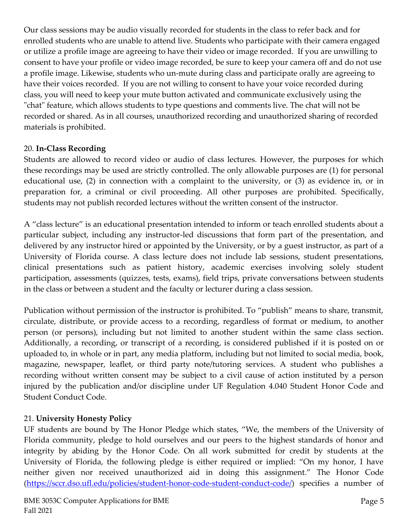Our class sessions may be audio visually recorded for students in the class to refer back and for enrolled students who are unable to attend live. Students who participate with their camera engaged or utilize a profile image are agreeing to have their video or image recorded. If you are unwilling to consent to have your profile or video image recorded, be sure to keep your camera off and do not use a profile image. Likewise, students who un-mute during class and participate orally are agreeing to have their voices recorded. If you are not willing to consent to have your voice recorded during class, you will need to keep your mute button activated and communicate exclusively using the "chat" feature, which allows students to type questions and comments live. The chat will not be recorded or shared. As in all courses, unauthorized recording and unauthorized sharing of recorded materials is prohibited.

## 20. **In-Class Recording**

Students are allowed to record video or audio of class lectures. However, the purposes for which these recordings may be used are strictly controlled. The only allowable purposes are (1) for personal educational use, (2) in connection with a complaint to the university, or (3) as evidence in, or in preparation for, a criminal or civil proceeding. All other purposes are prohibited. Specifically, students may not publish recorded lectures without the written consent of the instructor.

A "class lecture" is an educational presentation intended to inform or teach enrolled students about a particular subject, including any instructor-led discussions that form part of the presentation, and delivered by any instructor hired or appointed by the University, or by a guest instructor, as part of a University of Florida course. A class lecture does not include lab sessions, student presentations, clinical presentations such as patient history, academic exercises involving solely student participation, assessments (quizzes, tests, exams), field trips, private conversations between students in the class or between a student and the faculty or lecturer during a class session.

Publication without permission of the instructor is prohibited. To "publish" means to share, transmit, circulate, distribute, or provide access to a recording, regardless of format or medium, to another person (or persons), including but not limited to another student within the same class section. Additionally, a recording, or transcript of a recording, is considered published if it is posted on or uploaded to, in whole or in part, any media platform, including but not limited to social media, book, magazine, newspaper, leaflet, or third party note/tutoring services. A student who publishes a recording without written consent may be subject to a civil cause of action instituted by a person injured by the publication and/or discipline under UF Regulation 4.040 Student Honor Code and Student Conduct Code.

## 21. **University Honesty Policy**

UF students are bound by The Honor Pledge which states, "We, the members of the University of Florida community, pledge to hold ourselves and our peers to the highest standards of honor and integrity by abiding by the Honor Code. On all work submitted for credit by students at the University of Florida, the following pledge is either required or implied: "On my honor, I have neither given nor received unauthorized aid in doing this assignment." The Honor Code [\(https://sccr.dso.ufl.edu/policies/student-honor-code-student-conduct-code/\)](https://sccr.dso.ufl.edu/policies/student-honor-code-student-conduct-code/) specifies a number of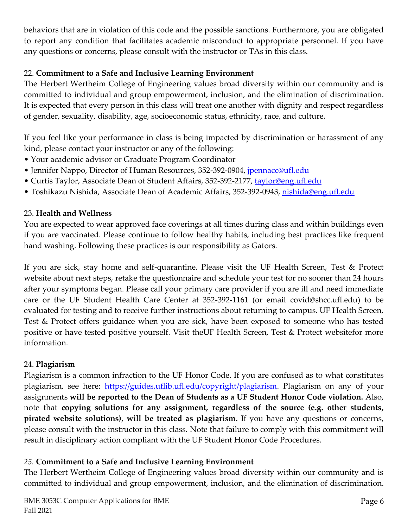behaviors that are in violation of this code and the possible sanctions. Furthermore, you are obligated to report any condition that facilitates academic misconduct to appropriate personnel. If you have any questions or concerns, please consult with the instructor or TAs in this class.

## 22. **Commitment to a Safe and Inclusive Learning Environment**

The Herbert Wertheim College of Engineering values broad diversity within our community and is committed to individual and group empowerment, inclusion, and the elimination of discrimination. It is expected that every person in this class will treat one another with dignity and respect regardless of gender, sexuality, disability, age, socioeconomic status, ethnicity, race, and culture.

If you feel like your performance in class is being impacted by discrimination or harassment of any kind, please contact your instructor or any of the following:

- Your academic advisor or Graduate Program Coordinator
- Jennifer Nappo, Director of Human Resources, 352-392-0904, [jpennacc@ufl.edu](mailto:jpennacc@ufl.edu)
- Curtis Taylor, Associate Dean of Student Affairs, 352-392-2177, [taylor@eng.ufl.edu](mailto:taylor@eng.ufl.edu)
- Toshikazu Nishida, Associate Dean of Academic Affairs, 352-392-0943, [nishida@eng.ufl.edu](mailto:nishida@eng.ufl.edu)

## 23. **Health and Wellness**

You are expected to wear approved face coverings at all times during class and within buildings even if you are vaccinated. Please continue to follow healthy habits, including best practices like frequent hand washing. Following these practices is our responsibility as Gators.

If you are sick, stay home and self-quarantine. Please visit the UF Health Screen, Test & Protect website about next steps, retake the questionnaire and schedule your test for no sooner than 24 hours after your symptoms began. Please call your primary care provider if you are ill and need immediate care or the UF Student Health Care Center at 352-392-1161 (or email covid@shcc.ufl.edu) to be evaluated for testing and to receive further instructions about returning to campus. UF Health Screen, Test & Protect offers guidance when you are sick, have been exposed to someone who has tested positive or have tested positive yourself. Visit theUF Health Screen, Test & Protect websitefor more information.

## 24. **Plagiarism**

Plagiarism is a common infraction to the UF Honor Code. If you are confused as to what constitutes plagiarism, see here: [https://guides.uflib.ufl.edu/copyright/plagiarism.](https://guides.uflib.ufl.edu/copyright/plagiarism) Plagiarism on any of your assignments **will be reported to the Dean of Students as a UF Student Honor Code violation.** Also, note that **copying solutions for any assignment, regardless of the source (e.g. other students, pirated website solutions), will be treated as plagiarism.** If you have any questions or concerns, please consult with the instructor in this class. Note that failure to comply with this commitment will result in disciplinary action compliant with the UF Student Honor Code Procedures.

# *25.* **Commitment to a Safe and Inclusive Learning Environment**

The Herbert Wertheim College of Engineering values broad diversity within our community and is committed to individual and group empowerment, inclusion, and the elimination of discrimination.

BME 3053C Computer Applications for BME Fall 2021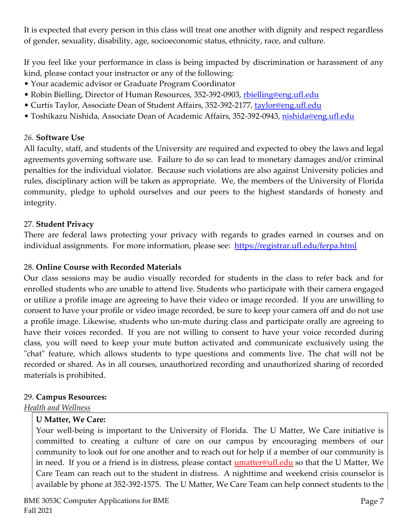It is expected that every person in this class will treat one another with dignity and respect regardless of gender, sexuality, disability, age, socioeconomic status, ethnicity, race, and culture.

If you feel like your performance in class is being impacted by discrimination or harassment of any kind, please contact your instructor or any of the following:

- Your academic advisor or Graduate Program Coordinator
- Robin Bielling, Director of Human Resources, 352-392-0903, [rbielling@eng.ufl.edu](mailto:rbielling@eng.ufl.edu)
- Curtis Taylor, Associate Dean of Student Affairs, 352-392-2177, [taylor@eng.ufl.edu](mailto:taylor@eng.ufl.edu)
- Toshikazu Nishida, Associate Dean of Academic Affairs, 352-392-0943, <u>nishida@eng.ufl.edu</u>

#### *26.* **Software Use**

All faculty, staff, and students of the University are required and expected to obey the laws and legal agreements governing software use. Failure to do so can lead to monetary damages and/or criminal penalties for the individual violator. Because such violations are also against University policies and rules, disciplinary action will be taken as appropriate. We, the members of the University of Florida community, pledge to uphold ourselves and our peers to the highest standards of honesty and integrity.

#### 27. **Student Privacy**

There are federal laws protecting your privacy with regards to grades earned in courses and on individual assignments. For more information, please see: <https://registrar.ufl.edu/ferpa.html>

#### 28. **Online Course with Recorded Materials**

Our class sessions may be audio visually recorded for students in the class to refer back and for enrolled students who are unable to attend live. Students who participate with their camera engaged or utilize a profile image are agreeing to have their video or image recorded. If you are unwilling to consent to have your profile or video image recorded, be sure to keep your camera off and do not use a profile image. Likewise, students who un-mute during class and participate orally are agreeing to have their voices recorded. If you are not willing to consent to have your voice recorded during class, you will need to keep your mute button activated and communicate exclusively using the "chat" feature, which allows students to type questions and comments live. The chat will not be recorded or shared. As in all courses, unauthorized recording and unauthorized sharing of recorded materials is prohibited.

#### 29. **Campus Resources:**

*Health and Wellness* 

#### **U Matter, We Care:**

Your well-being is important to the University of Florida. The U Matter, We Care initiative is committed to creating a culture of care on our campus by encouraging members of our community to look out for one another and to reach out for help if a member of our community is in need. If you or a friend is in distress, please contact **umatter@ufl.edu** so that the U Matter, We Care Team can reach out to the student in distress. A nighttime and weekend crisis counselor is available by phone at 352-392-1575. The U Matter, We Care Team can help connect students to the